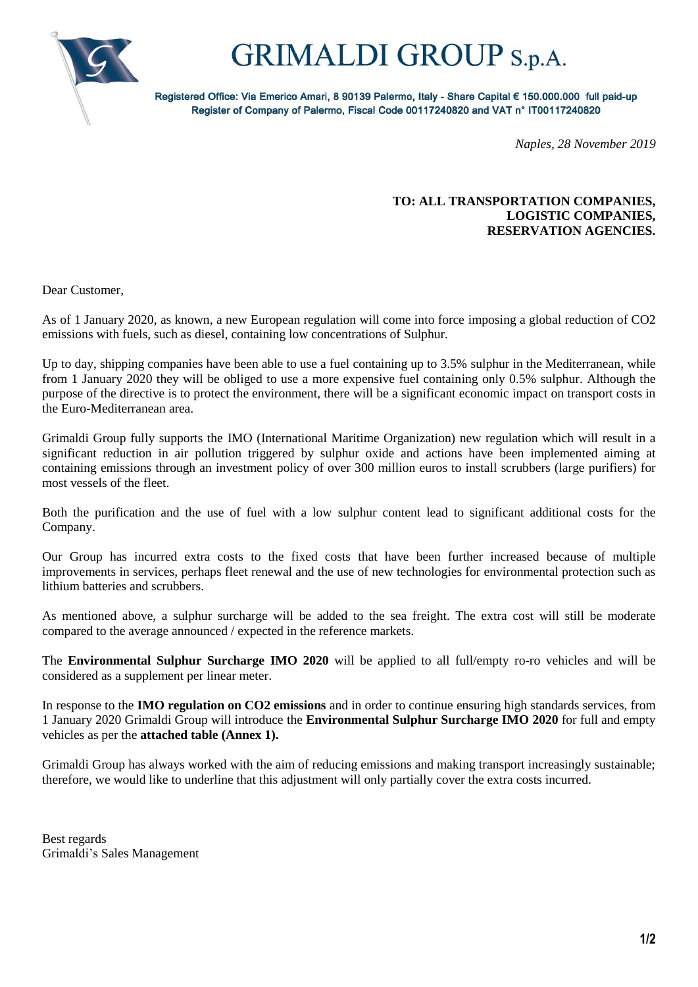

## **GRIMALDI GROUP** S.p.A.

Registered Office: Via Emerico Amari, 8 90139 Palermo, Italy - Share Capital € 150.000.000 full paid-up Register of Company of Palermo, Fiscal Code 00117240820 and VAT n° IT00117240820

*Naples, 28 November 2019*

### **TO: ALL TRANSPORTATION COMPANIES, LOGISTIC COMPANIES, RESERVATION AGENCIES.**

Dear Customer,

As of 1 January 2020, as known, a new European regulation will come into force imposing a global reduction of CO2 emissions with fuels, such as diesel, containing low concentrations of Sulphur.

Up to day, shipping companies have been able to use a fuel containing up to 3.5% sulphur in the Mediterranean, while from 1 January 2020 they will be obliged to use a more expensive fuel containing only 0.5% sulphur. Although the purpose of the directive is to protect the environment, there will be a significant economic impact on transport costs in the Euro-Mediterranean area.

Grimaldi Group fully supports the IMO (International Maritime Organization) new regulation which will result in a significant reduction in air pollution triggered by sulphur oxide and actions have been implemented aiming at containing emissions through an investment policy of over 300 million euros to install scrubbers (large purifiers) for most vessels of the fleet.

Both the purification and the use of fuel with a low sulphur content lead to significant additional costs for the Company.

Our Group has incurred extra costs to the fixed costs that have been further increased because of multiple improvements in services, perhaps fleet renewal and the use of new technologies for environmental protection such as lithium batteries and scrubbers.

As mentioned above, a sulphur surcharge will be added to the sea freight. The extra cost will still be moderate compared to the average announced / expected in the reference markets.

The **Environmental Sulphur Surcharge IMO 2020** will be applied to all full/empty ro-ro vehicles and will be considered as a supplement per linear meter.

In response to the **IMO regulation on CO2 emissions** and in order to continue ensuring high standards services, from 1 January 2020 Grimaldi Group will introduce the **Environmental Sulphur Surcharge IMO 2020** for full and empty vehicles as per the **attached table (Annex 1).**

Grimaldi Group has always worked with the aim of reducing emissions and making transport increasingly sustainable; therefore, we would like to underline that this adjustment will only partially cover the extra costs incurred.

Best regards Grimaldi's Sales Management